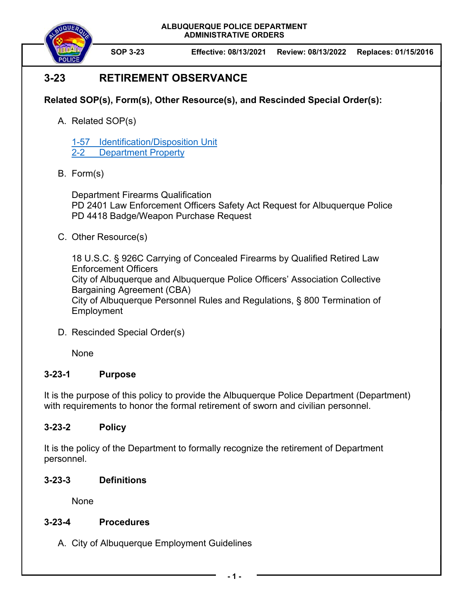**ALBUQUERQUE POLICE DEPARTMENT ADMINISTRATIVE ORDERS** 



**SOP 3-23 Effective: 08/13/2021 Review: 08/13/2022 Replaces: 01/15/2016** 

# **3-23 RETIREMENT OBSERVANCE**

## **Related SOP(s), Form(s), Other Resource(s), and Rescinded Special Order(s):**

A. Related SOP(s)

1-57 Identification/Disposition Unit 2-2 Department Property

B. Form(s)

Department Firearms Qualification PD 2401 Law Enforcement Officers Safety Act Request for Albuquerque Police PD 4418 Badge/Weapon Purchase Request

C. Other Resource(s)

18 U.S.C. § 926C Carrying of Concealed Firearms by Qualified Retired Law Enforcement Officers City of Albuquerque and Albuquerque Police Officers' Association Collective Bargaining Agreement (CBA) City of Albuquerque Personnel Rules and Regulations, § 800 Termination of **Employment** 

D. Rescinded Special Order(s)

None

### **3-23-1 Purpose**

It is the purpose of this policy to provide the Albuquerque Police Department (Department) with requirements to honor the formal retirement of sworn and civilian personnel.

### **3-23-2 Policy**

It is the policy of the Department to formally recognize the retirement of Department personnel.

### **3-23-3 Definitions**

None

### **3-23-4 Procedures**

A. City of Albuquerque Employment Guidelines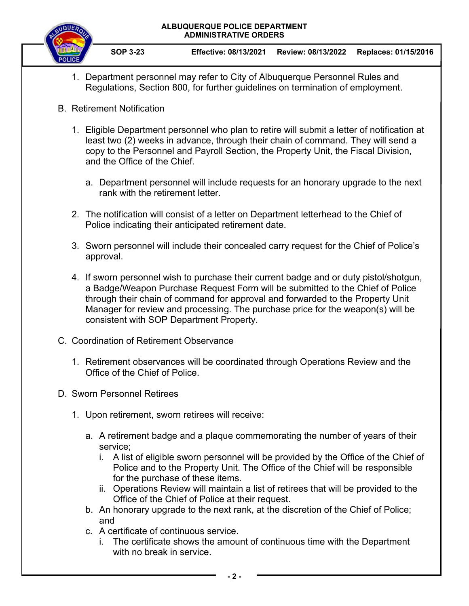#### **ALBUQUERQUE POLICE DEPARTMENT ADMINISTRATIVE ORDERS**



- 1. Department personnel may refer to City of Albuquerque Personnel Rules and Regulations, Section 800, for further guidelines on termination of employment.
- B. Retirement Notification
	- 1. Eligible Department personnel who plan to retire will submit a letter of notification at least two (2) weeks in advance, through their chain of command. They will send a copy to the Personnel and Payroll Section, the Property Unit, the Fiscal Division, and the Office of the Chief.
		- a. Department personnel will include requests for an honorary upgrade to the next rank with the retirement letter.
	- 2. The notification will consist of a letter on Department letterhead to the Chief of Police indicating their anticipated retirement date.
	- 3. Sworn personnel will include their concealed carry request for the Chief of Police's approval.
	- 4. If sworn personnel wish to purchase their current badge and or duty pistol/shotgun, a Badge/Weapon Purchase Request Form will be submitted to the Chief of Police through their chain of command for approval and forwarded to the Property Unit Manager for review and processing. The purchase price for the weapon(s) will be consistent with SOP Department Property.
- C. Coordination of Retirement Observance
	- 1. Retirement observances will be coordinated through Operations Review and the Office of the Chief of Police.
- D. Sworn Personnel Retirees
	- 1. Upon retirement, sworn retirees will receive:
		- a. A retirement badge and a plaque commemorating the number of years of their service;
			- i. A list of eligible sworn personnel will be provided by the Office of the Chief of Police and to the Property Unit. The Office of the Chief will be responsible for the purchase of these items.
			- ii. Operations Review will maintain a list of retirees that will be provided to the Office of the Chief of Police at their request.
		- b. An honorary upgrade to the next rank, at the discretion of the Chief of Police; and
		- c. A certificate of continuous service.
			- i. The certificate shows the amount of continuous time with the Department with no break in service.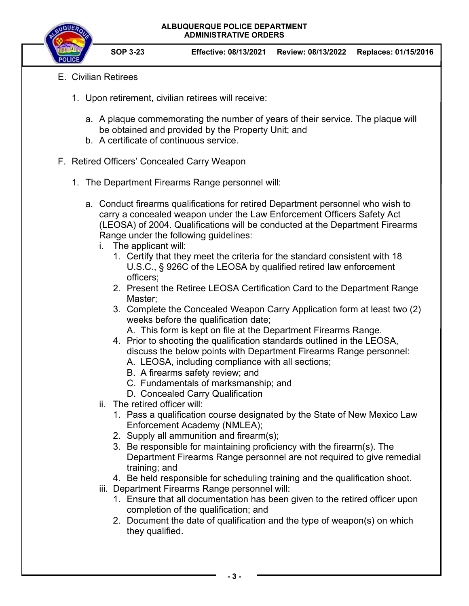

**SOP 3-23 Effective: 08/13/2021 Review: 08/13/2022 Replaces: 01/15/2016** 

- E. Civilian Retirees
	- 1. Upon retirement, civilian retirees will receive:
		- a. A plaque commemorating the number of years of their service. The plaque will be obtained and provided by the Property Unit; and
		- b. A certificate of continuous service.
- F. Retired Officers' Concealed Carry Weapon
	- 1. The Department Firearms Range personnel will:
		- a. Conduct firearms qualifications for retired Department personnel who wish to carry a concealed weapon under the Law Enforcement Officers Safety Act (LEOSA) of 2004. Qualifications will be conducted at the Department Firearms Range under the following guidelines:
			- i. The applicant will:
				- 1. Certify that they meet the criteria for the standard consistent with 18 U.S.C., § 926C of the LEOSA by qualified retired law enforcement officers;
				- 2. Present the Retiree LEOSA Certification Card to the Department Range Master;
				- 3. Complete the Concealed Weapon Carry Application form at least two (2) weeks before the qualification date;
					- A. This form is kept on file at the Department Firearms Range.
				- 4. Prior to shooting the qualification standards outlined in the LEOSA, discuss the below points with Department Firearms Range personnel: A. LEOSA, including compliance with all sections;
					- B. A firearms safety review; and
					- C. Fundamentals of marksmanship; and
					- D. Concealed Carry Qualification
			- ii. The retired officer will:
				- 1. Pass a qualification course designated by the State of New Mexico Law Enforcement Academy (NMLEA);
				- 2. Supply all ammunition and firearm(s);
				- 3. Be responsible for maintaining proficiency with the firearm(s). The Department Firearms Range personnel are not required to give remedial training; and
				- 4. Be held responsible for scheduling training and the qualification shoot.
			- iii. Department Firearms Range personnel will:
				- 1. Ensure that all documentation has been given to the retired officer upon completion of the qualification; and
				- 2. Document the date of qualification and the type of weapon(s) on which they qualified.